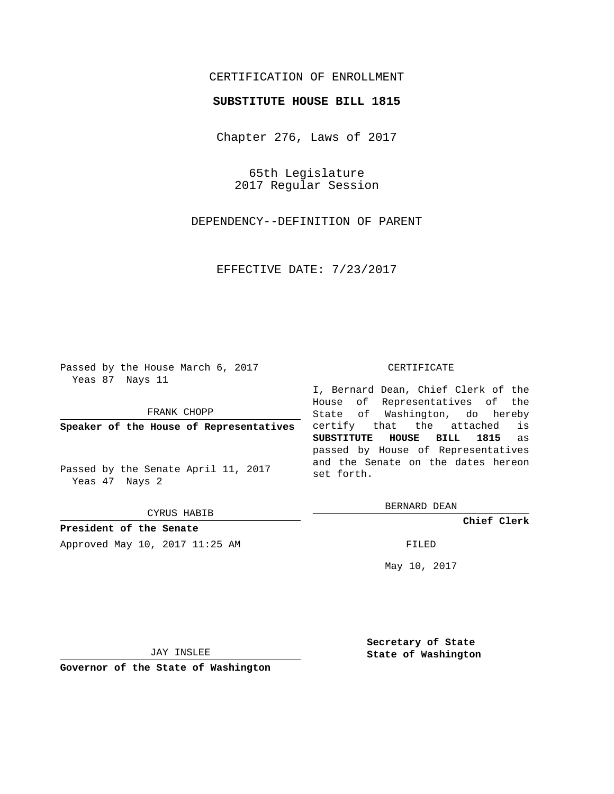## CERTIFICATION OF ENROLLMENT

## **SUBSTITUTE HOUSE BILL 1815**

Chapter 276, Laws of 2017

65th Legislature 2017 Regular Session

DEPENDENCY--DEFINITION OF PARENT

EFFECTIVE DATE: 7/23/2017

Passed by the House March 6, 2017 Yeas 87 Nays 11

FRANK CHOPP

**Speaker of the House of Representatives**

Passed by the Senate April 11, 2017 Yeas 47 Nays 2

CYRUS HABIB

**President of the Senate** Approved May 10, 2017 11:25 AM FILED

## CERTIFICATE

I, Bernard Dean, Chief Clerk of the House of Representatives of the State of Washington, do hereby certify that the attached is **SUBSTITUTE HOUSE BILL 1815** as passed by House of Representatives and the Senate on the dates hereon set forth.

BERNARD DEAN

**Chief Clerk**

May 10, 2017

JAY INSLEE

**Governor of the State of Washington**

**Secretary of State State of Washington**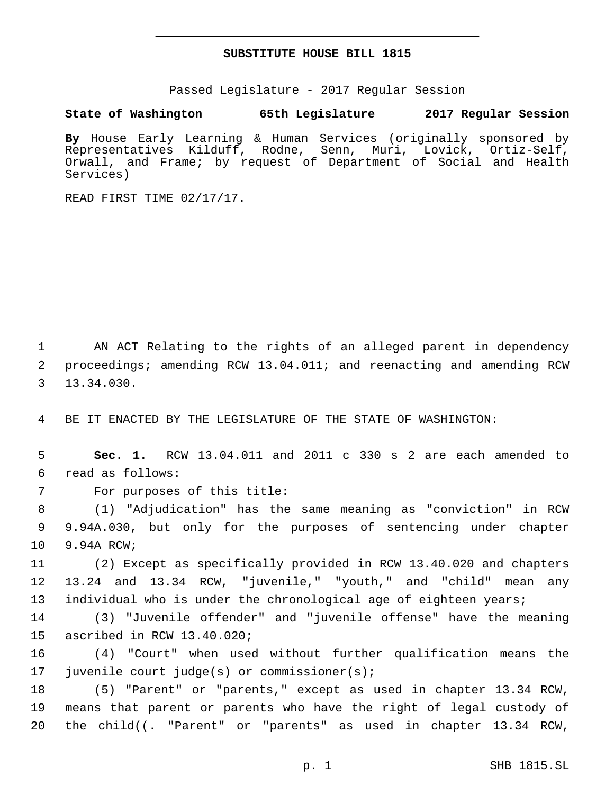## **SUBSTITUTE HOUSE BILL 1815**

Passed Legislature - 2017 Regular Session

**State of Washington 65th Legislature 2017 Regular Session**

**By** House Early Learning & Human Services (originally sponsored by Representatives Kilduff, Rodne, Senn, Muri, Lovick, Ortiz-Self, Orwall, and Frame; by request of Department of Social and Health Services)

READ FIRST TIME 02/17/17.

1 AN ACT Relating to the rights of an alleged parent in dependency 2 proceedings; amending RCW 13.04.011; and reenacting and amending RCW 13.34.030.3

4 BE IT ENACTED BY THE LEGISLATURE OF THE STATE OF WASHINGTON:

5 **Sec. 1.** RCW 13.04.011 and 2011 c 330 s 2 are each amended to read as follows:6

7 For purposes of this title:

8 (1) "Adjudication" has the same meaning as "conviction" in RCW 9 9.94A.030, but only for the purposes of sentencing under chapter 10 9.94A RCW;

11 (2) Except as specifically provided in RCW 13.40.020 and chapters 12 13.24 and 13.34 RCW, "juvenile," "youth," and "child" mean any 13 individual who is under the chronological age of eighteen years;

14 (3) "Juvenile offender" and "juvenile offense" have the meaning 15 ascribed in RCW 13.40.020;

16 (4) "Court" when used without further qualification means the 17 juvenile court judge(s) or commissioner(s);

18 (5) "Parent" or "parents," except as used in chapter 13.34 RCW, 19 means that parent or parents who have the right of legal custody of 20 the child((<del>. "Parent" or "parents" as used in chapter 13.34 RCW,</del>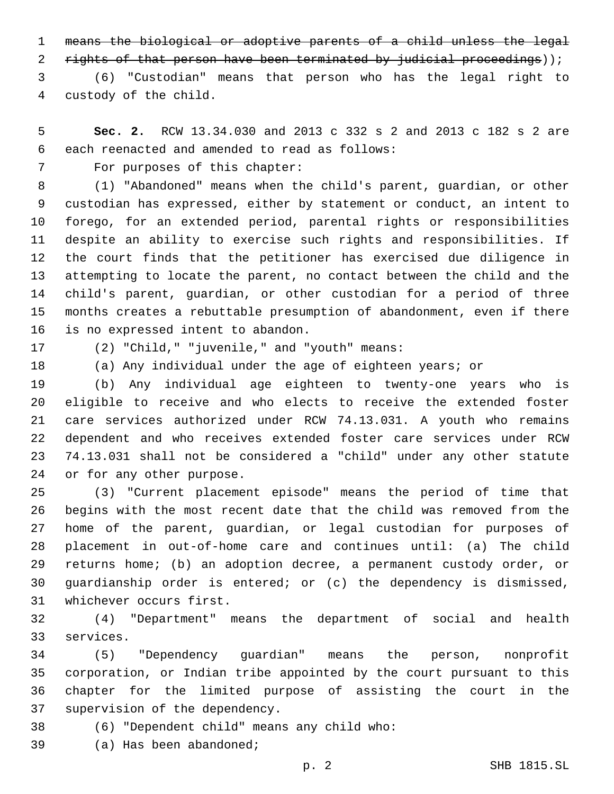means the biological or adoptive parents of a child unless the legal

2 rights of that person have been terminated by judicial proceedings));

 (6) "Custodian" means that person who has the legal right to custody of the child.4

 **Sec. 2.** RCW 13.34.030 and 2013 c 332 s 2 and 2013 c 182 s 2 are 6 each reenacted and amended to read as follows:

7 For purposes of this chapter:

 (1) "Abandoned" means when the child's parent, guardian, or other custodian has expressed, either by statement or conduct, an intent to forego, for an extended period, parental rights or responsibilities despite an ability to exercise such rights and responsibilities. If the court finds that the petitioner has exercised due diligence in attempting to locate the parent, no contact between the child and the child's parent, guardian, or other custodian for a period of three months creates a rebuttable presumption of abandonment, even if there 16 is no expressed intent to abandon.

(2) "Child," "juvenile," and "youth" means:17

(a) Any individual under the age of eighteen years; or

 (b) Any individual age eighteen to twenty-one years who is eligible to receive and who elects to receive the extended foster care services authorized under RCW 74.13.031. A youth who remains dependent and who receives extended foster care services under RCW 74.13.031 shall not be considered a "child" under any other statute 24 or for any other purpose.

 (3) "Current placement episode" means the period of time that begins with the most recent date that the child was removed from the home of the parent, guardian, or legal custodian for purposes of placement in out-of-home care and continues until: (a) The child returns home; (b) an adoption decree, a permanent custody order, or guardianship order is entered; or (c) the dependency is dismissed, 31 whichever occurs first.

 (4) "Department" means the department of social and health 33 services.

 (5) "Dependency guardian" means the person, nonprofit corporation, or Indian tribe appointed by the court pursuant to this chapter for the limited purpose of assisting the court in the 37 supervision of the dependency.

(6) "Dependent child" means any child who:38

39 (a) Has been abandoned;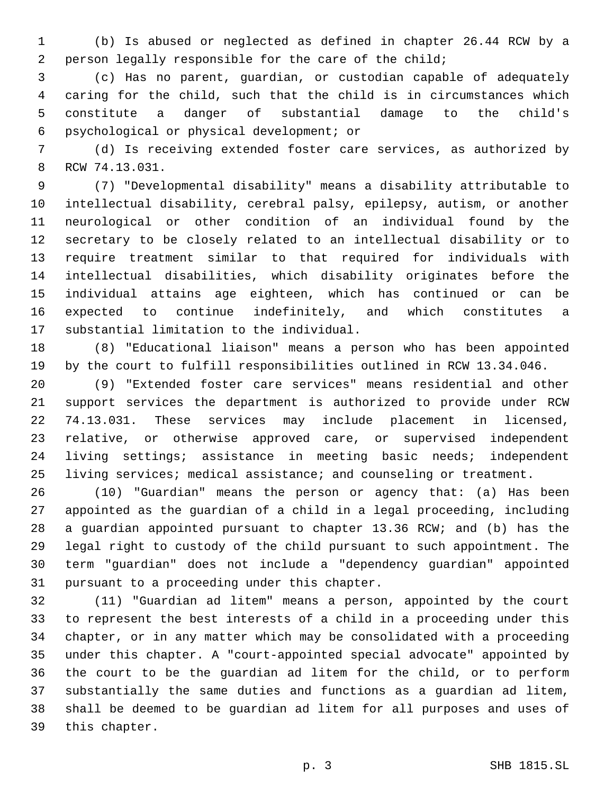(b) Is abused or neglected as defined in chapter 26.44 RCW by a person legally responsible for the care of the child;

 (c) Has no parent, guardian, or custodian capable of adequately caring for the child, such that the child is in circumstances which constitute a danger of substantial damage to the child's psychological or physical development; or6

 (d) Is receiving extended foster care services, as authorized by 8 RCW 74.13.031.

 (7) "Developmental disability" means a disability attributable to intellectual disability, cerebral palsy, epilepsy, autism, or another neurological or other condition of an individual found by the secretary to be closely related to an intellectual disability or to require treatment similar to that required for individuals with intellectual disabilities, which disability originates before the individual attains age eighteen, which has continued or can be expected to continue indefinitely, and which constitutes a 17 substantial limitation to the individual.

 (8) "Educational liaison" means a person who has been appointed by the court to fulfill responsibilities outlined in RCW 13.34.046.

 (9) "Extended foster care services" means residential and other support services the department is authorized to provide under RCW 74.13.031. These services may include placement in licensed, relative, or otherwise approved care, or supervised independent living settings; assistance in meeting basic needs; independent 25 living services; medical assistance; and counseling or treatment.

 (10) "Guardian" means the person or agency that: (a) Has been appointed as the guardian of a child in a legal proceeding, including a guardian appointed pursuant to chapter 13.36 RCW; and (b) has the legal right to custody of the child pursuant to such appointment. The term "guardian" does not include a "dependency guardian" appointed 31 pursuant to a proceeding under this chapter.

 (11) "Guardian ad litem" means a person, appointed by the court to represent the best interests of a child in a proceeding under this chapter, or in any matter which may be consolidated with a proceeding under this chapter. A "court-appointed special advocate" appointed by the court to be the guardian ad litem for the child, or to perform substantially the same duties and functions as a guardian ad litem, shall be deemed to be guardian ad litem for all purposes and uses of 39 this chapter.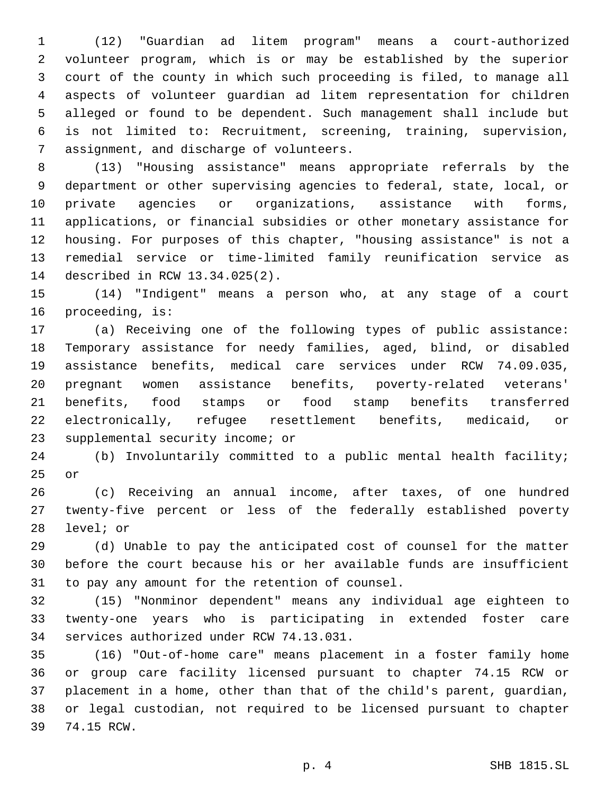(12) "Guardian ad litem program" means a court-authorized volunteer program, which is or may be established by the superior court of the county in which such proceeding is filed, to manage all aspects of volunteer guardian ad litem representation for children alleged or found to be dependent. Such management shall include but is not limited to: Recruitment, screening, training, supervision, 7 assignment, and discharge of volunteers.

 (13) "Housing assistance" means appropriate referrals by the department or other supervising agencies to federal, state, local, or private agencies or organizations, assistance with forms, applications, or financial subsidies or other monetary assistance for housing. For purposes of this chapter, "housing assistance" is not a remedial service or time-limited family reunification service as 14 described in RCW 13.34.025(2).

 (14) "Indigent" means a person who, at any stage of a court 16 proceeding, is:

 (a) Receiving one of the following types of public assistance: Temporary assistance for needy families, aged, blind, or disabled assistance benefits, medical care services under RCW 74.09.035, pregnant women assistance benefits, poverty-related veterans' benefits, food stamps or food stamp benefits transferred electronically, refugee resettlement benefits, medicaid, or 23 supplemental security income; or

 (b) Involuntarily committed to a public mental health facility; 25 or

 (c) Receiving an annual income, after taxes, of one hundred twenty-five percent or less of the federally established poverty 28 level; or

 (d) Unable to pay the anticipated cost of counsel for the matter before the court because his or her available funds are insufficient 31 to pay any amount for the retention of counsel.

 (15) "Nonminor dependent" means any individual age eighteen to twenty-one years who is participating in extended foster care 34 services authorized under RCW 74.13.031.

 (16) "Out-of-home care" means placement in a foster family home or group care facility licensed pursuant to chapter 74.15 RCW or placement in a home, other than that of the child's parent, guardian, or legal custodian, not required to be licensed pursuant to chapter 74.15 RCW.39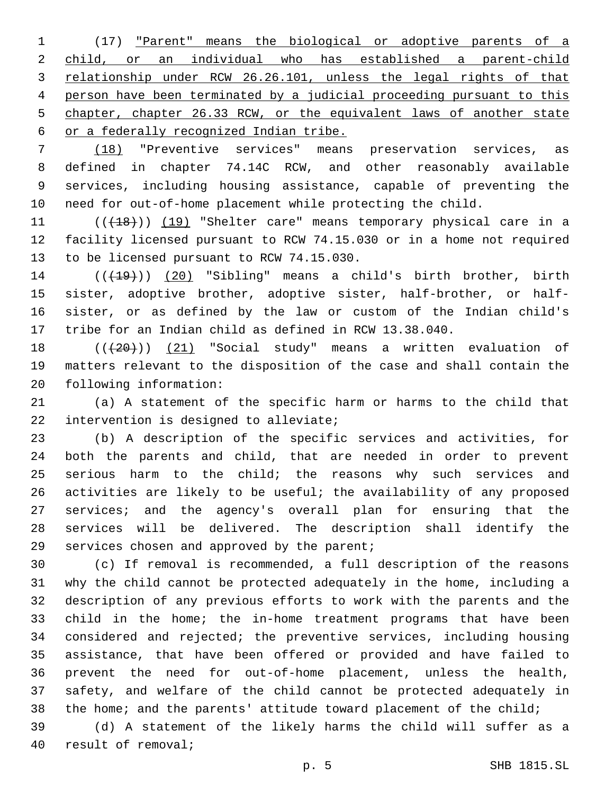(17) "Parent" means the biological or adoptive parents of a child, or an individual who has established a parent-child relationship under RCW 26.26.101, unless the legal rights of that person have been terminated by a judicial proceeding pursuant to this chapter, chapter 26.33 RCW, or the equivalent laws of another state or a federally recognized Indian tribe.

 (18) "Preventive services" means preservation services, as defined in chapter 74.14C RCW, and other reasonably available services, including housing assistance, capable of preventing the need for out-of-home placement while protecting the child.

11 (((18))) (19) "Shelter care" means temporary physical care in a facility licensed pursuant to RCW 74.15.030 or in a home not required 13 to be licensed pursuant to RCW 74.15.030.

14 (( $(19)$ ) (20) "Sibling" means a child's birth brother, birth sister, adoptive brother, adoptive sister, half-brother, or half- sister, or as defined by the law or custom of the Indian child's tribe for an Indian child as defined in RCW 13.38.040.

18  $((+20))$   $(21)$  "Social study" means a written evaluation of matters relevant to the disposition of the case and shall contain the 20 following information:

 (a) A statement of the specific harm or harms to the child that 22 intervention is designed to alleviate;

 (b) A description of the specific services and activities, for both the parents and child, that are needed in order to prevent serious harm to the child; the reasons why such services and activities are likely to be useful; the availability of any proposed services; and the agency's overall plan for ensuring that the services will be delivered. The description shall identify the services chosen and approved by the parent;

 (c) If removal is recommended, a full description of the reasons why the child cannot be protected adequately in the home, including a description of any previous efforts to work with the parents and the child in the home; the in-home treatment programs that have been considered and rejected; the preventive services, including housing assistance, that have been offered or provided and have failed to prevent the need for out-of-home placement, unless the health, safety, and welfare of the child cannot be protected adequately in 38 the home; and the parents' attitude toward placement of the child;

 (d) A statement of the likely harms the child will suffer as a 40 result of removal;